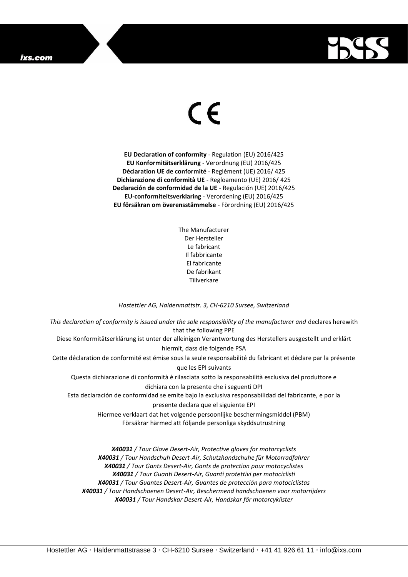## ixs.com



## $\epsilon$

**EU Declaration of conformity** - Regulation (EU) 2016/425 **EU Konformitätserklärung** - Verordnung (EU) 2016/425 **Déclaration UE de conformité** - Reglément (UE) 2016/ 425 **Dichiarazione di conformità UE** - Regloamento (UE) 2016/ 425 **Declaración de conformidad de la UE** - Regulación (UE) 2016/425 **EU-conformiteitsverklaring** - Verordening (EU) 2016/425 **EU försäkran om överensstämmelse** - Förordning (EU) 2016/425

> The Manufacturer Der Hersteller Le fabricant Il fabbricante El fabricante De fabrikant Tillverkare

## *Hostettler AG, Haldenmattstr. 3, CH-6210 Sursee, Switzerland*

*This declaration of conformity is issued under the sole responsibility of the manufacturer and* declares herewith that the following PPE Diese Konformitätserklärung ist unter der alleinigen Verantwortung des Herstellers ausgestellt und erklärt hiermit, dass die folgende PSA Cette déclaration de conformité est émise sous la seule responsabilité du fabricant et déclare par la présente que les EPI suivants Questa dichiarazione di conformità è rilasciata sotto la responsabilità esclusiva del produttore e dichiara con la presente che i seguenti DPI Esta declaración de conformidad se emite bajo la exclusiva responsabilidad del fabricante, e por la presente declara que el siguiente EPI Hiermee verklaart dat het volgende persoonlijke beschermingsmiddel (PBM) Försäkrar härmed att följande personliga skyddsutrustning

> *X40031 / Tour Glove Desert-Air, Protective gloves for motorcyclists X40031 / Tour Handschuh Desert-Air, Schutzhandschuhe für Motorradfahrer X40031 / Tour Gants Desert-Air, Gants de protection pour motocyclistes X40031 / Tour Guanti Desert-Air, Guanti protettivi per motociclisti X40031 / Tour Guantes Desert-Air, Guantes de protección para motociclistas X40031 / Tour Handschoenen Desert-Air, Beschermend handschoenen voor motorrijders X40031 / Tour Handskar Desert-Air, Handskar för motorcyklister*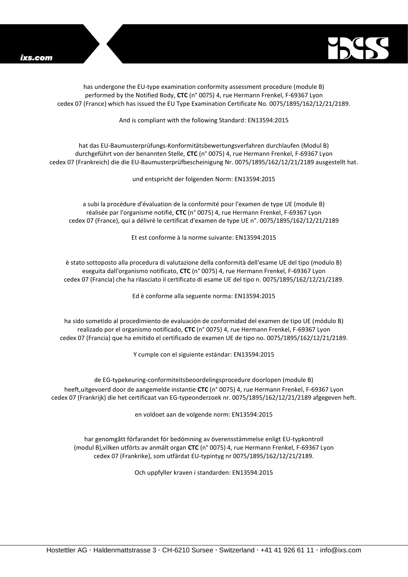

has undergone the EU-type examination conformity assessment procedure (module B) performed by the Notified Body, **CTC** (n° 0075) 4, rue Hermann Frenkel, F-69367 Lyon cedex 07 (France) which has issued the EU Type Examination Certificate No. 0075/1895/162/12/21/2189.

And is compliant with the following Standard: EN13594:2015

hat das EU-Baumusterprüfungs-Konformitätsbewertungsverfahren durchlaufen (Modul B) durchgeführt von der benannten Stelle, **CTC** (n° 0075) 4, rue Hermann Frenkel, F-69367 Lyon cedex 07 (Frankreich) die die EU-Baumusterprüfbescheinigung Nr. 0075/1895/162/12/21/2189 ausgestellt hat.

und entspricht der folgenden Norm: EN13594:2015

a subi la procédure d'évaluation de la conformité pour l'examen de type UE (module B) réalisée par l'organisme notifié, **CTC** (n° 0075) 4, rue Hermann Frenkel, F-69367 Lyon cedex 07 (France), qui a délivré le certificat d'examen de type UE n°. 0075/1895/162/12/21/2189

Et est conforme à la norme suivante: EN13594:2015

è stato sottoposto alla procedura di valutazione della conformità dell'esame UE del tipo (modulo B) eseguita dall'organismo notificato, **CTC** (n° 0075) 4, rue Hermann Frenkel, F-69367 Lyon cedex 07 (Francia) che ha rilasciato il certificato di esame UE del tipo n. 0075/1895/162/12/21/2189.

Ed è conforme alla seguente norma: EN13594:2015

ha sido sometido al procedimiento de evaluación de conformidad del examen de tipo UE (módulo B) realizado por el organismo notificado, **CTC** (n° 0075) 4, rue Hermann Frenkel, F-69367 Lyon cedex 07 (Francia) que ha emitido el certificado de examen UE de tipo no. 0075/1895/162/12/21/2189.

Y cumple con el siguiente estándar: EN13594:2015

de EG-typekeuring-conformiteitsbeoordelingsprocedure doorlopen (module B) heeft,uitgevoerd door de aangemelde instantie **CTC** (n° 0075) 4, rue Hermann Frenkel, F-69367 Lyon cedex 07 (Frankrijk) die het certificaat van EG-typeonderzoek nr. 0075/1895/162/12/21/2189 afgegeven heft.

en voldoet aan de volgende norm: EN13594:2015

har genomgått förfarandet för bedömning av överensstämmelse enligt EU-typkontroll (modul B),vilken utförts av anmält organ **CTC** (n° 0075) 4, rue Hermann Frenkel, F-69367 Lyon cedex 07 (Frankrike), som utfärdat EU-typintyg nr 0075/1895/162/12/21/2189.

Och uppfyller kraven i standarden: EN13594:2015